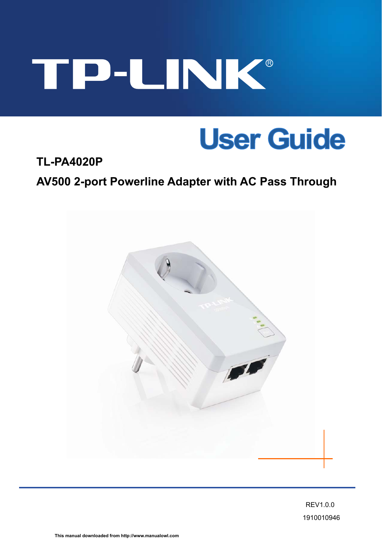## TP-UNK®

## **User Guide**

## **TL-PA4020P AV500 2-port Powerline Adapter with AC Pass Through**



REV1.0.0 1910010946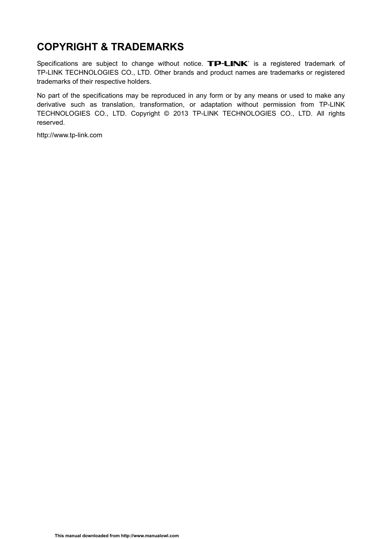## **COPYRIGHT & TRADEMARKS**

Specifications are subject to change without notice.  $\mathbf{TP}\text{-}\mathbf{LINK}^*$  is a registered trademark of TP-LINK TECHNOLOGIES CO., LTD. Other brands and product names are trademarks or registered trademarks of their respective holders.

No part of the specifications may be reproduced in any form or by any means or used to make any derivative such as translation, transformation, or adaptation without permission from TP-LINK TECHNOLOGIES CO., LTD. Copyright © 2013 TP-LINK TECHNOLOGIES CO., LTD. All rights reserved.

[http://www.tp-link.com](http://www.tp-link.com/)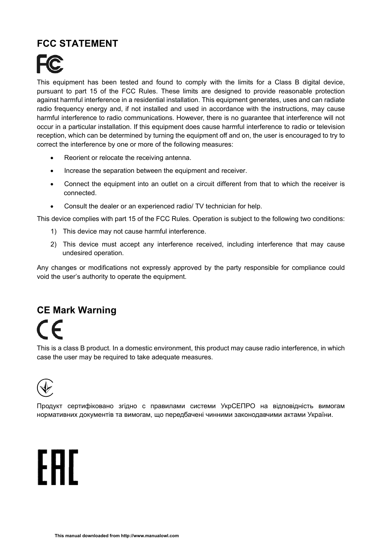### **FCC STATEMENT**



This equipment has been tested and found to comply with the limits for a Class B digital device, pursuant to part 15 of the FCC Rules. These limits are designed to provide reasonable protection against harmful interference in a residential installation. This equipment generates, uses and can radiate radio frequency energy and, if not installed and used in accordance with the instructions, may cause harmful interference to radio communications. However, there is no guarantee that interference will not occur in a particular installation. If this equipment does cause harmful interference to radio or television reception, which can be determined by turning the equipment off and on, the user is encouraged to try to correct the interference by one or more of the following measures:

- Reorient or relocate the receiving antenna.
- Increase the separation between the equipment and receiver.
- Connect the equipment into an outlet on a circuit different from that to which the receiver is connected.
- Consult the dealer or an experienced radio/ TV technician for help.

This device complies with part 15 of the FCC Rules. Operation is subject to the following two conditions:

- 1) This device may not cause harmful interference.
- 2) This device must accept any interference received, including interference that may cause undesired operation.

Any changes or modifications not expressly approved by the party responsible for compliance could void the user's authority to operate the equipment.

## **CE Mark Warning**

This is a class B product. In a domestic environment, this product may cause radio interference, in which case the user may be required to take adequate measures.



Продукт сертифіковано згідно с правилами системи УкрСЕПРО на відповідність вимогам нормативних документів та вимогам, що передбачені чинними законодавчими актами України.

# FAL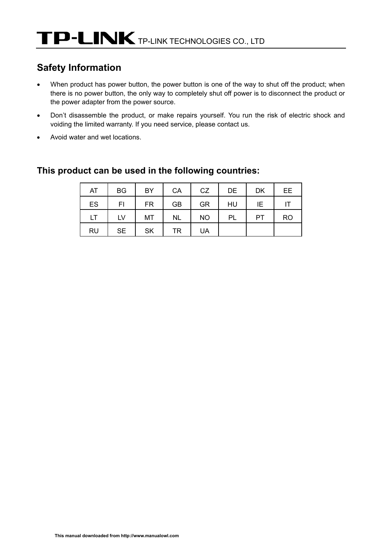## **Safety Information**

- When product has power button, the power button is one of the way to shut off the product; when there is no power button, the only way to completely shut off power is to disconnect the product or the power adapter from the power source.
- Don't disassemble the product, or make repairs yourself. You run the risk of electric shock and voiding the limited warranty. If you need service, please contact us.
- Avoid water and wet locations.

| AT        | <b>BG</b> | <b>BY</b> | CA        | <b>CZ</b> | DE | <b>DK</b> | EE        |
|-----------|-----------|-----------|-----------|-----------|----|-----------|-----------|
| ES        | FI        | <b>FR</b> | <b>GB</b> | <b>GR</b> | HU | ΙE        | ΙT        |
| LT        | LV        | MT        | <b>NL</b> | <b>NO</b> | PL | РT        | <b>RO</b> |
| <b>RU</b> | <b>SE</b> | <b>SK</b> | TR        | <b>UA</b> |    |           |           |

#### **This product can be used in the following countries:**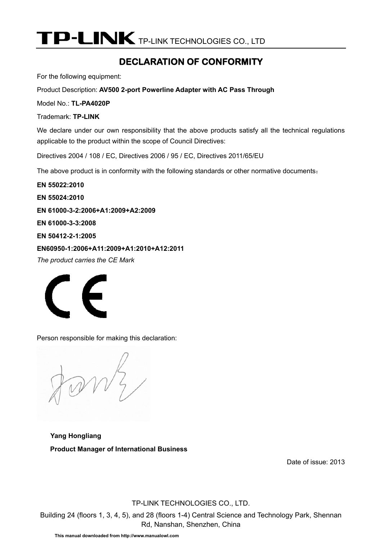TP-LINK TECHNOLOGIES CO., LTD

#### **DECLARATION OF CONFORMITY**

For the following equipment:

Product Description: **AV500 2-port Powerline Adapter with AC Pass Through**

Model No.: **TL-PA4020P**

Trademark: **TP-LINK** 

We declare under our own responsibility that the above products satisfy all the technical regulations applicable to the product within the scope of Council Directives:

Directives 2004 / 108 / EC, Directives 2006 / 95 / EC, Directives 2011/65/EU

The above product is in conformity with the following standards or other normative documents:

**EN 55022:2010 EN 55024:2010 EN 61000-3-2:2006+A1:2009+A2:2009 EN 61000-3-3:2008 EN 50412-2-1:2005 EN60950-1:2006+A11:2009+A1:2010+A12:2011** 

*The product carries the CE Mark* 



Person responsible for making this declaration:

 $\nu\zeta$ 

**Yang Hongliang Product Manager of International Business** 

Date of issue: 2013

TP-LINK TECHNOLOGIES CO., LTD.

Building 24 (floors 1, 3, 4, 5), and 28 (floors 1-4) Central Science and Technology Park, Shennan Rd, Nanshan, Shenzhen, China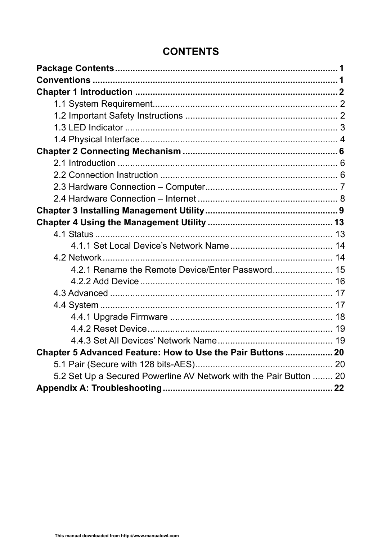| 4.2.1 Rename the Remote Device/Enter Password 15                   |  |
|--------------------------------------------------------------------|--|
|                                                                    |  |
|                                                                    |  |
|                                                                    |  |
|                                                                    |  |
|                                                                    |  |
|                                                                    |  |
| Chapter 5 Advanced Feature: How to Use the Pair Buttons 20         |  |
|                                                                    |  |
| 5.2 Set Up a Secured Powerline AV Network with the Pair Button  20 |  |
|                                                                    |  |

## **CONTENTS**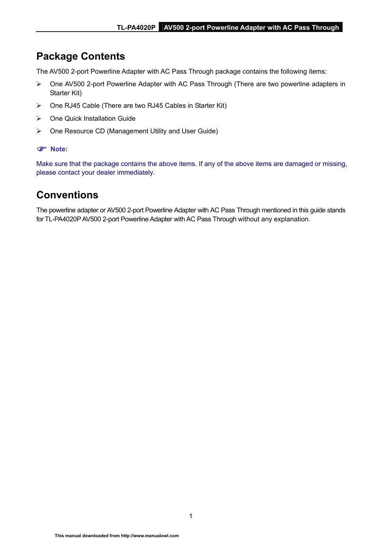### <span id="page-6-0"></span>**Package Contents**

The AV500 2-port Powerline Adapter with AC Pass Through package contains the following items:

- ¾ One AV500 2-port Powerline Adapter with AC Pass Through (There are two powerline adapters in Starter Kit)
- ¾ One RJ45 Cable (There are two RJ45 Cables in Starter Kit)
- $\triangleright$  One Quick Installation Guide
- ¾ One Resource CD (Management Utility and User Guide)

#### ) **Note:**

Make sure that the package contains the above items. If any of the above items are damaged or missing, please contact your dealer immediately.

#### **Conventions**

The powerline adapter or AV500 2-port Powerline Adapter with AC Pass Through mentioned in this guide stands for TL-PA4020P AV500 2-port Powerline Adapter with AC Pass Through without any explanation.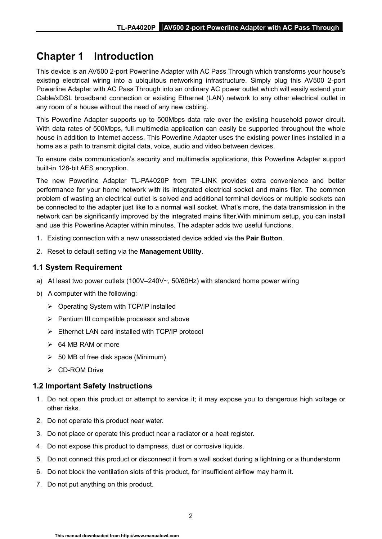## <span id="page-7-0"></span>**Chapter 1 Introduction**

This device is an AV500 2-port Powerline Adapter with AC Pass Through which transforms your house's existing electrical wiring into a ubiquitous networking infrastructure. Simply plug this AV500 2-port Powerline Adapter with AC Pass Through into an ordinary AC power outlet which will easily extend your Cable/xDSL broadband connection or existing Ethernet (LAN) network to any other electrical outlet in any room of a house without the need of any new cabling.

This Powerline Adapter supports up to 500Mbps data rate over the existing household power circuit. With data rates of 500Mbps, full multimedia application can easily be supported throughout the whole house in addition to Internet access. This Powerline Adapter uses the existing power lines installed in a home as a path to transmit digital data, voice, audio and video between devices.

To ensure data communication's security and multimedia applications, this Powerline Adapter support built-in 128-bit AES encryption.

The new Powerline Adapter TL-PA4020P from TP-LINK provides extra convenience and better performance for your home network with its integrated electrical socket and mains filer. The common problem of wasting an electrical outlet is solved and additional terminal devices or multiple sockets can be connected to the adapter just like to a normal wall socket. What's more, the data transmission in the network can be significantly improved by the integrated mains filter.With minimum setup, you can install and use this Powerline Adapter within minutes. The adapter adds two useful functions.

- 1. Existing connection with a new unassociated device added via the **Pair Button**.
- 2. Reset to default setting via the **Management Utility**.

#### **1.1 System Requirement**

- a) At least two power outlets (100V–240V~, 50/60Hz) with standard home power wiring
- b) A computer with the following:
	- ¾ Operating System with TCP/IP installed
	- $\triangleright$  Pentium III compatible processor and above
	- $\triangleright$  Ethernet LAN card installed with TCP/IP protocol
	- $\geqslant$  64 MB RAM or more
	- $\geq$  50 MB of free disk space (Minimum)
	- ¾ CD-ROM Drive

#### **1.2 Important Safety Instructions**

- 1. Do not open this product or attempt to service it; it may expose you to dangerous high voltage or other risks.
- 2. Do not operate this product near water.
- 3. Do not place or operate this product near a radiator or a heat register.
- 4. Do not expose this product to dampness, dust or corrosive liquids.
- 5. Do not connect this product or disconnect it from a wall socket during a lightning or a thunderstorm
- 6. Do not block the ventilation slots of this product, for insufficient airflow may harm it.
- 7. Do not put anything on this product.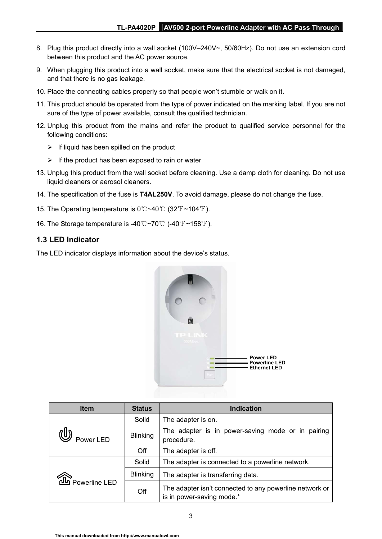- <span id="page-8-0"></span>8. Plug this product directly into a wall socket (100V–240V~, 50/60Hz). Do not use an extension cord between this product and the AC power source.
- 9. When plugging this product into a wall socket, make sure that the electrical socket is not damaged, and that there is no gas leakage.
- 10. Place the connecting cables properly so that people won't stumble or walk on it.
- 11. This product should be operated from the type of power indicated on the marking label. If you are not sure of the type of power available, consult the qualified technician.
- 12. Unplug this product from the mains and refer the product to qualified service personnel for the following conditions:
	- $\triangleright$  If liquid has been spilled on the product
	- $\triangleright$  If the product has been exposed to rain or water
- 13. Unplug this product from the wall socket before cleaning. Use a damp cloth for cleaning. Do not use liquid cleaners or aerosol cleaners.
- 14. The specification of the fuse is **T4AL250V**. To avoid damage, please do not change the fuse.
- 15. The Operating temperature is  $0^{\circ}$   $\sim$  40 $^{\circ}$  (32 $^{\circ}$ F  $\sim$  104 $^{\circ}$ F).
- 16. The Storage temperature is -40  $\degree$ C ~70  $\degree$  (-40  $\degree$ F ~158  $\degree$ F).

#### **1.3 LED Indicator**

The LED indicator displays information about the device's status.



| <b>Item</b>   | <b>Status</b>   | <b>Indication</b>                                                                    |
|---------------|-----------------|--------------------------------------------------------------------------------------|
|               | Solid           | The adapter is on.                                                                   |
| Power LED     | <b>Blinking</b> | The adapter is in power-saving mode or in pairing<br>procedure.                      |
|               | Off             | The adapter is off.                                                                  |
|               | Solid           | The adapter is connected to a powerline network.                                     |
|               | <b>Blinking</b> | The adapter is transferring data.                                                    |
| Powerline LED | Off             | The adapter isn't connected to any powerline network or<br>is in power-saving mode.* |

3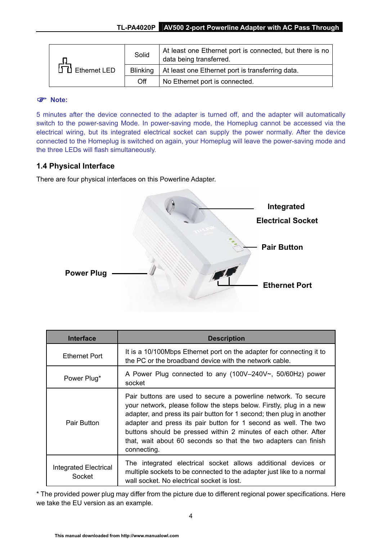<span id="page-9-0"></span>

|                                    | Solid           | At least one Ethernet port is connected, but there is no<br>data being transferred. |
|------------------------------------|-----------------|-------------------------------------------------------------------------------------|
| $\overrightarrow{CD}$ Ethernet LED | <b>Blinking</b> | At least one Ethernet port is transferring data.                                    |
|                                    | Off             | No Ethernet port is connected.                                                      |

#### ) **Note:**

5 minutes after the device connected to the adapter is turned off, and the adapter will automatically switch to the power-saving Mode. In power-saving mode, the Homeplug cannot be accessed via the electrical wiring, but its integrated electrical socket can supply the power normally. After the device connected to the Homeplug is switched on again, your Homeplug will leave the power-saving mode and the three LEDs will flash simultaneously.

#### **1.4 Physical Interface**

There are four physical interfaces on this Powerline Adapter.



| <b>Interface</b>                       | <b>Description</b>                                                                                                                                                                                                                                                                                                                                                                                                                     |
|----------------------------------------|----------------------------------------------------------------------------------------------------------------------------------------------------------------------------------------------------------------------------------------------------------------------------------------------------------------------------------------------------------------------------------------------------------------------------------------|
| <b>Ethernet Port</b>                   | It is a 10/100Mbps Ethernet port on the adapter for connecting it to<br>the PC or the broadband device with the network cable.                                                                                                                                                                                                                                                                                                         |
| Power Plug <sup>*</sup>                | A Power Plug connected to any $(100V-240V\sim, 50/60Hz)$ power<br>socket                                                                                                                                                                                                                                                                                                                                                               |
| Pair Button                            | Pair buttons are used to secure a powerline network. To secure<br>your network, please follow the steps below. Firstly, plug in a new<br>adapter, and press its pair button for 1 second; then plug in another<br>adapter and press its pair button for 1 second as well. The two<br>buttons should be pressed within 2 minutes of each other. After<br>that, wait about 60 seconds so that the two adapters can finish<br>connecting. |
| <b>Integrated Electrical</b><br>Socket | The integrated electrical socket allows additional devices or<br>multiple sockets to be connected to the adapter just like to a normal<br>wall socket. No electrical socket is lost.                                                                                                                                                                                                                                                   |

\* The provided power plug may differ from the picture due to different regional power specifications. Here we take the EU version as an example.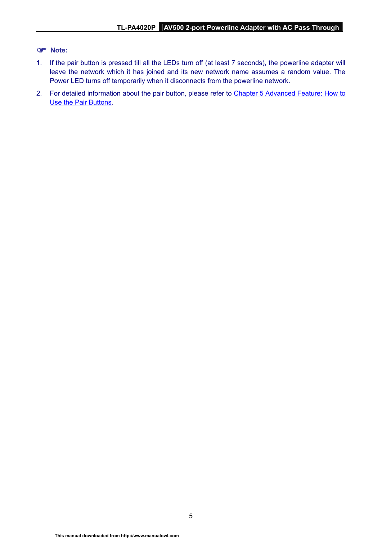#### ) **Note:**

- 1. If the pair button is pressed till all the LEDs turn off (at least 7 seconds), the powerline adapter will leave the network which it has joined and its new network name assumes a random value. The Power LED turns off temporarily when it disconnects from the powerline network.
- 2. For detailed information about the pair button, please refer to Chapter 5 Advanced Feature: How to [Use the Pair Buttons](#page-25-0).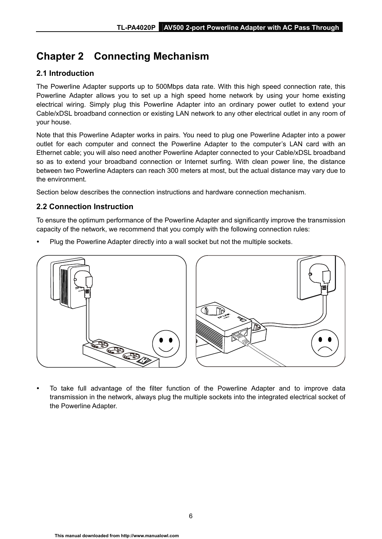## <span id="page-11-0"></span>**Chapter 2 Connecting Mechanism**

#### **2.1 Introduction**

The Powerline Adapter supports up to 500Mbps data rate. With this high speed connection rate, this Powerline Adapter allows you to set up a high speed home network by using your home existing electrical wiring. Simply plug this Powerline Adapter into an ordinary power outlet to extend your Cable/xDSL broadband connection or existing LAN network to any other electrical outlet in any room of your house.

Note that this Powerline Adapter works in pairs. You need to plug one Powerline Adapter into a power outlet for each computer and connect the Powerline Adapter to the computer's LAN card with an Ethernet cable; you will also need another Powerline Adapter connected to your Cable/xDSL broadband so as to extend your broadband connection or Internet surfing. With clean power line, the distance between two Powerline Adapters can reach 300 meters at most, but the actual distance may vary due to the environment.

Section below describes the connection instructions and hardware connection mechanism.

#### **2.2 Connection Instruction**

To ensure the optimum performance of the Powerline Adapter and significantly improve the transmission capacity of the network, we recommend that you comply with the following connection rules:

Plug the Powerline Adapter directly into a wall socket but not the multiple sockets.



To take full advantage of the filter function of the Powerline Adapter and to improve data transmission in the network, always plug the multiple sockets into the integrated electrical socket of the Powerline Adapter.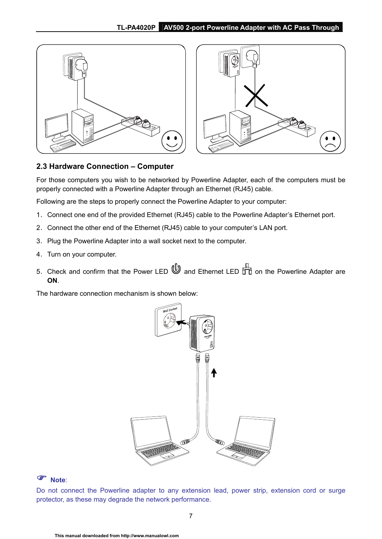<span id="page-12-0"></span>



#### **2.3 Hardware Connection – Computer**

For those computers you wish to be networked by Powerline Adapter, each of the computers must be properly connected with a Powerline Adapter through an Ethernet (RJ45) cable.

Following are the steps to properly connect the Powerline Adapter to your computer:

- 1. Connect one end of the provided Ethernet (RJ45) cable to the Powerline Adapter's Ethernet port.
- 2. Connect the other end of the Ethernet (RJ45) cable to your computer's LAN port.
- 3. Plug the Powerline Adapter into a wall socket next to the computer.
- 4. Turn on your computer.
- 5. Check and confirm that the Power LED  $\bigcirc$  and Ethernet LED  $\overline{11}$  on the Powerline Adapter are **ON**.

The hardware connection mechanism is shown below:



#### ) **Note**:

Do not connect the Powerline adapter to any extension lead, power strip, extension cord or surge protector, as these may degrade the network performance.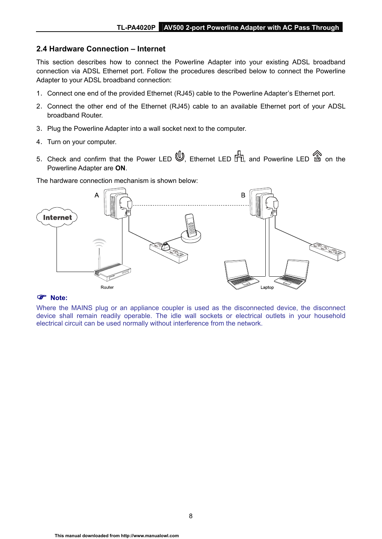#### <span id="page-13-0"></span>**2.4 Hardware Connection – Internet**

This section describes how to connect the Powerline Adapter into your existing ADSL broadband connection via ADSL Ethernet port. Follow the procedures described below to connect the Powerline Adapter to your ADSL broadband connection:

- 1. Connect one end of the provided Ethernet (RJ45) cable to the Powerline Adapter's Ethernet port.
- 2. Connect the other end of the Ethernet (RJ45) cable to an available Ethernet port of your ADSL broadband Router.
- 3. Plug the Powerline Adapter into a wall socket next to the computer.
- 4. Turn on your computer.
- 5. Check and confirm that the Power LED  $\mathbb{U}$ , Ethernet LED  $\mathbb{H}$ , and Powerline LED  $\mathbb{\hat{D}}$  on the Powerline Adapter are **ON**.

The hardware connection mechanism is shown below:



#### ) **Note:**

Where the MAINS plug or an appliance coupler is used as the disconnected device, the disconnect device shall remain readily operable. The idle wall sockets or electrical outlets in your household electrical circuit can be used normally without interference from the network.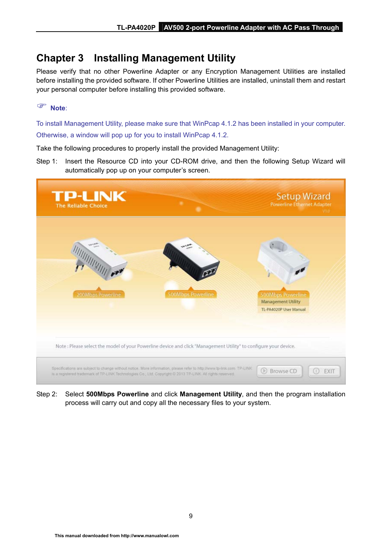## <span id="page-14-0"></span>**Chapter 3 Installing Management Utility**

Please verify that no other Powerline Adapter or any Encryption Management Utilities are installed before installing the provided software. If other Powerline Utilities are installed, uninstall them and restart your personal computer before installing this provided software.

#### ) **Note**:

To install Management Utility, please make sure that WinPcap 4.1.2 has been installed in your computer. Otherwise, a window will pop up for you to install WinPcap 4.1.2.

Take the following procedures to properly install the provided Management Utility:

Step 1: Insert the Resource CD into your CD-ROM drive, and then the following Setup Wizard will automatically pop up on your computer's screen.



Step 2: Select **500Mbps Powerline** and click **Management Utility**, and then the program installation process will carry out and copy all the necessary files to your system.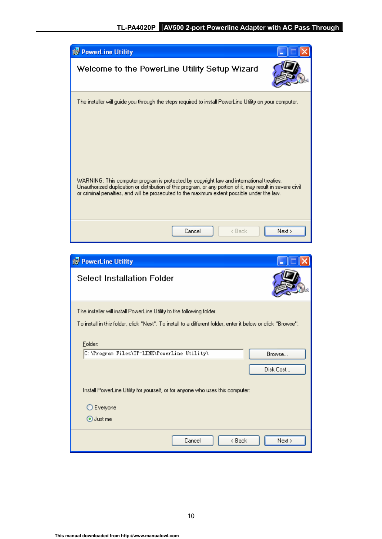

| <b>is PowerLine Utility</b>                                                                                  |  |
|--------------------------------------------------------------------------------------------------------------|--|
| <b>Select Installation Folder</b>                                                                            |  |
| The installer will install PowerLine Utility to the following folder.                                        |  |
| To install in this folder, click "Next". To install to a different folder, enter it below or click "Browse". |  |
| Folder:                                                                                                      |  |
| C:\Program Files\TP-LINK\PowerLine Utility\<br>Browse                                                        |  |
| Disk Cost                                                                                                    |  |
| Install PowerLine Utility for yourself, or for anyone who uses this computer:                                |  |
| Everyone                                                                                                     |  |
| ⊙ Just me                                                                                                    |  |
| < Back<br>Cancel<br>Next >                                                                                   |  |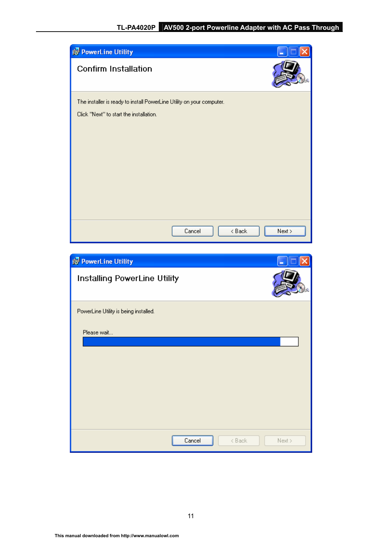| <b>is PowerLine Utility</b>                                           |        |        |        |
|-----------------------------------------------------------------------|--------|--------|--------|
| <b>Confirm Installation</b>                                           |        |        |        |
| The installer is ready to install PowerLine Utility on your computer. |        |        |        |
| Click "Next" to start the installation.                               |        |        |        |
|                                                                       |        |        |        |
|                                                                       |        |        |        |
|                                                                       |        |        |        |
|                                                                       |        |        |        |
|                                                                       |        |        |        |
|                                                                       |        |        |        |
|                                                                       |        |        |        |
|                                                                       | Cancel | < Back | Next > |

| <b>is PowerLine Utility</b>           |        |        |        |
|---------------------------------------|--------|--------|--------|
| Installing PowerLine Utility          |        |        |        |
| PowerLine Utility is being installed. |        |        |        |
| Please wait                           |        |        |        |
|                                       | Cancel | < Back | Next > |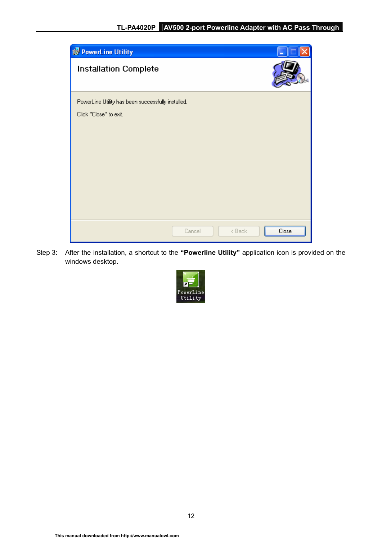

Step 3: After the installation, a shortcut to the **"Powerline Utility"** application icon is provided on the windows desktop.

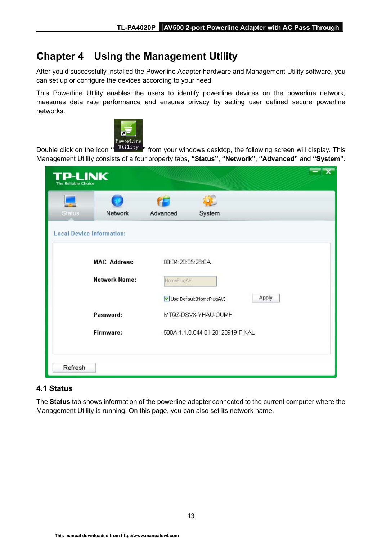## <span id="page-18-0"></span>**Chapter 4 Using the Management Utility**

After you'd successfully installed the Powerline Adapter hardware and Management Utility software, you can set up or configure the devices according to your need.

This Powerline Utility enables the users to identify powerline devices on the powerline network, measures data rate performance and ensures privacy by setting user defined secure powerline networks.



Double click on the icon **" "** from your windows desktop, the following screen will display. This Management Utility consists of a four property tabs, **"Status"**, **"Network"**, **"Advanced"** and **"System"**.

| <b>Status</b> | Network                          | Advanced          | System                           |       |
|---------------|----------------------------------|-------------------|----------------------------------|-------|
|               | <b>Local Device Information:</b> |                   |                                  |       |
|               | <b>MAC Address:</b>              | 00:04:20:05:28:0A |                                  |       |
|               | <b>Network Name:</b>             | HomePlugAV        |                                  |       |
|               |                                  |                   | Use Default(HomePlugAV)          | Apply |
|               | Password:                        |                   | MTQZ-DSVX-YHAU-OUMH              |       |
|               | Firmware:                        |                   | 500A-1.1.0.844-01-20120919-FINAL |       |

#### **4.1 Status**

The **Status** tab shows information of the powerline adapter connected to the current computer where the Management Utility is running. On this page, you can also set its network name.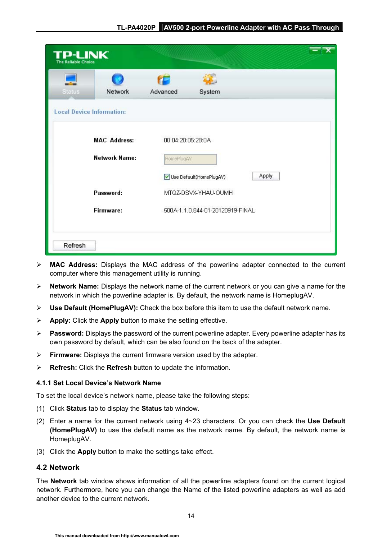<span id="page-19-0"></span>

| <b>TP-LINK</b><br><b>The Reliable Choice</b>      |                      |                   |                                  |       |  |
|---------------------------------------------------|----------------------|-------------------|----------------------------------|-------|--|
|                                                   |                      |                   |                                  |       |  |
| <b>Status</b><br><b>Local Device Information:</b> | Network              | Advanced          | System                           |       |  |
|                                                   |                      |                   |                                  |       |  |
|                                                   | <b>MAC Address:</b>  | 00:04:20:05:28:0A |                                  |       |  |
|                                                   | <b>Network Name:</b> | HomePlugAV        |                                  |       |  |
|                                                   |                      |                   | Use Default(HomePlugAV)          | Apply |  |
|                                                   | Password:            |                   | MTQZ-DSVX-YHAU-OUMH              |       |  |
|                                                   | Firmware:            |                   | 500A-1.1.0.844-01-20120919-FINAL |       |  |
|                                                   |                      |                   |                                  |       |  |
| Refresh                                           |                      |                   |                                  |       |  |

- ¾ **MAC Address:** Displays the MAC address of the powerline adapter connected to the current computer where this management utility is running.
- ¾ **Network Name:** Displays the network name of the current network or you can give a name for the network in which the powerline adapter is. By default, the network name is HomeplugAV.
- ¾ **Use Default (HomePlugAV):** Check the box before this item to use the default network name.
- ¾ **Apply:** Click the **Apply** button to make the setting effective.
- ¾ **Password:** Displays the password of the current powerline adapter. Every powerline adapter has its own password by default, which can be also found on the back of the adapter.
- ¾ **Firmware:** Displays the current firmware version used by the adapter.
- ¾ **Refresh:** Click the **Refresh** button to update the information.

#### **4.1.1 Set Local Device's Network Name**

To set the local device's network name, please take the following steps:

- (1) Click **Status** tab to display the **Status** tab window.
- (2) Enter a name for the current network using 4~23 characters. Or you can check the **Use Default (HomePlugAV)** to use the default name as the network name. By default, the network name is HomeplugAV.
- (3) Click the **Apply** button to make the settings take effect.

#### **4.2 Network**

The **Network** tab window shows information of all the powerline adapters found on the current logical network. Furthermore, here you can change the Name of the listed powerline adapters as well as add another device to the current network.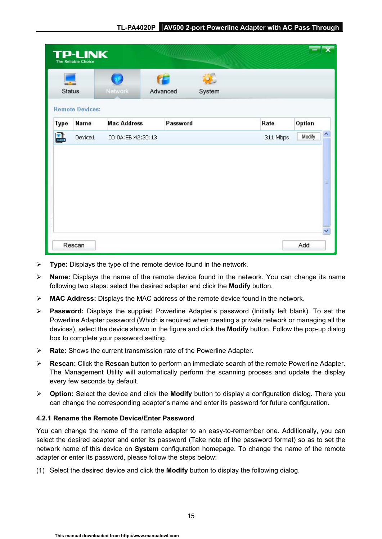<span id="page-20-0"></span>

|      | <b>TP-LINK</b><br><b>The Reliable Choice</b> |                    |          |          |          |             |
|------|----------------------------------------------|--------------------|----------|----------|----------|-------------|
|      | Status                                       | Network            | Advanced | System   |          |             |
| Type | <b>Remote Devices:</b><br>Name               | <b>Mac Address</b> |          | Password | Rate     | Option      |
|      |                                              |                    |          |          | 311 Mbps | 木<br>Modify |
| 畾    | Device1                                      | 00:0A:EB:42:20:13  |          |          |          |             |
|      |                                              |                    |          |          |          | $\equiv$    |

- ¾ **Type:** Displays the type of the remote device found in the network.
- ¾ **Name:** Displays the name of the remote device found in the network. You can change its name following two steps: select the desired adapter and click the **Modify** button.
- ¾ **MAC Address:** Displays the MAC address of the remote device found in the network.
- ¾ **Password:** Displays the supplied Powerline Adapter's password (Initially left blank). To set the Powerline Adapter password (Which is required when creating a private network or managing all the devices), select the device shown in the figure and click the **Modify** button. Follow the pop-up dialog box to complete your password setting.
- ¾ **Rate:** Shows the current transmission rate of the Powerline Adapter.
- ¾ **Rescan:** Click the **Rescan** button to perform an immediate search of the remote Powerline Adapter. The Management Utility will automatically perform the scanning process and update the display every few seconds by default.
- ¾ **Option:** Select the device and click the **Modify** button to display a configuration dialog. There you can change the corresponding adapter's name and enter its password for future configuration.

#### **4.2.1 Rename the Remote Device/Enter Password**

You can change the name of the remote adapter to an easy-to-remember one. Additionally, you can select the desired adapter and enter its password (Take note of the password format) so as to set the network name of this device on **System** configuration homepage. To change the name of the remote adapter or enter its password, please follow the steps below:

(1) Select the desired device and click the **Modify** button to display the following dialog.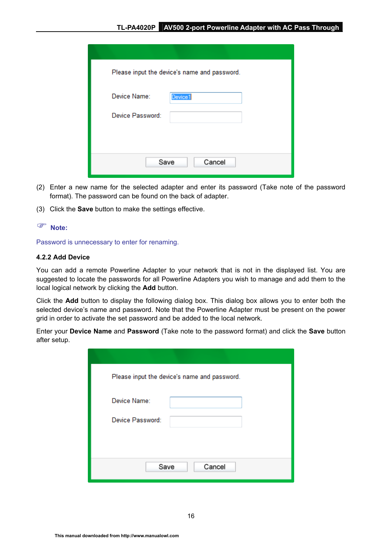<span id="page-21-0"></span>

| Please input the device's name and password. |
|----------------------------------------------|
| Device Name:<br>Device1                      |
| Device Password:                             |
|                                              |
| Cancel<br>Save                               |

- (2) Enter a new name for the selected adapter and enter its password (Take note of the password format). The password can be found on the back of adapter.
- (3) Click the **Save** button to make the settings effective.

#### ) **Note:**

Password is unnecessary to enter for renaming.

#### **4.2.2 Add Device**

You can add a remote Powerline Adapter to your network that is not in the displayed list. You are suggested to locate the passwords for all Powerline Adapters you wish to manage and add them to the local logical network by clicking the **Add** button.

Click the **Add** button to display the following dialog box. This dialog box allows you to enter both the selected device's name and password. Note that the Powerline Adapter must be present on the power grid in order to activate the set password and be added to the local network.

Enter your **Device Name** and **Password** (Take note to the password format) and click the **Save** button after setup.

| Please input the device's name and password. |
|----------------------------------------------|
| Device Name:                                 |
| Device Password:                             |
|                                              |
|                                              |
| Save<br>Cancel                               |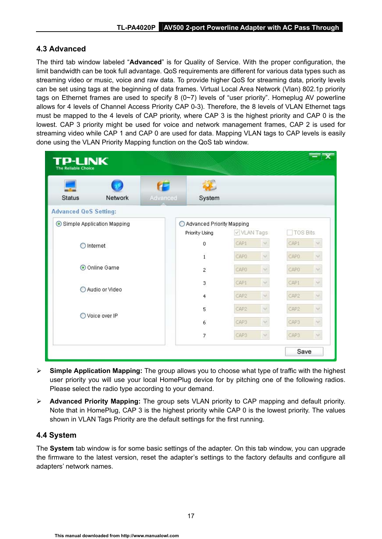#### <span id="page-22-0"></span>**4.3 Advanced**

The third tab window labeled "**Advanced**" is for Quality of Service. With the proper configuration, the limit bandwidth can be took full advantage. QoS requirements are different for various data types such as streaming video or music, voice and raw data. To provide higher QoS for streaming data, priority levels can be set using tags at the beginning of data frames. Virtual Local Area Network (Vlan) 802.1p priority tags on Ethernet frames are used to specify 8 (0~7) levels of "user priority". Homeplug AV powerline allows for 4 levels of Channel Access Priority CAP 0-3). Therefore, the 8 levels of VLAN Ethernet tags must be mapped to the 4 levels of CAP priority, where CAP 3 is the highest priority and CAP 0 is the lowest. CAP 3 priority might be used for voice and network management frames, CAP 2 is used for streaming video while CAP 1 and CAP 0 are used for data. Mapping VLAN tags to CAP levels is easily done using the VLAN Priority Mapping function on the QoS tab window.

| P-LINK<br><b>The Reliable Choice</b> |         |          |                                             |             |               |                 |        |
|--------------------------------------|---------|----------|---------------------------------------------|-------------|---------------|-----------------|--------|
| <b>Status</b>                        | Network | Advanced | System                                      |             |               |                 |        |
| <b>Advanced QoS Setting:</b>         |         |          |                                             |             |               |                 |        |
| Simple Application Mapping           |         |          | Advanced Priority Mapping<br>Priority Using | V VLAN Tags |               | <b>TOS Bits</b> |        |
| Internet                             |         |          | 0                                           | CAP1        | v             | CAP1            |        |
|                                      |         |          | $\mathbf{1}$                                | CAPO        | $\sim$        | CAPO            |        |
| Online Game                          |         | 2        | CAPO                                        | v           | CAPO          |                 |        |
|                                      |         |          | 3                                           | CAP1        | $\mathcal{N}$ | CAP1            | $\vee$ |
| Audio or Video                       |         |          | 4                                           | CAP2        | $\mathcal{A}$ | CAP2            |        |
|                                      |         |          | 5                                           | CAP2        | $\sim$        | CAP2            |        |
| Voice over IP                        |         |          | 6                                           | CAP3        | $\sim$        | CAP3            |        |
|                                      |         |          | 7                                           | CAP3        | $\mathcal{A}$ | CAP3            | M.     |
|                                      |         |          |                                             |             |               | Save            |        |

- ¾ **Simple Application Mapping:** The group allows you to choose what type of traffic with the highest user priority you will use your local HomePlug device for by pitching one of the following radios. Please select the radio type according to your demand.
- ¾ **Advanced Priority Mapping:** The group sets VLAN priority to CAP mapping and default priority. Note that in HomePlug, CAP 3 is the highest priority while CAP 0 is the lowest priority. The values shown in VLAN Tags Priority are the default settings for the first running.

#### **4.4 System**

The **System** tab window is for some basic settings of the adapter. On this tab window, you can upgrade the firmware to the latest version, reset the adapter's settings to the factory defaults and configure all adapters' network names.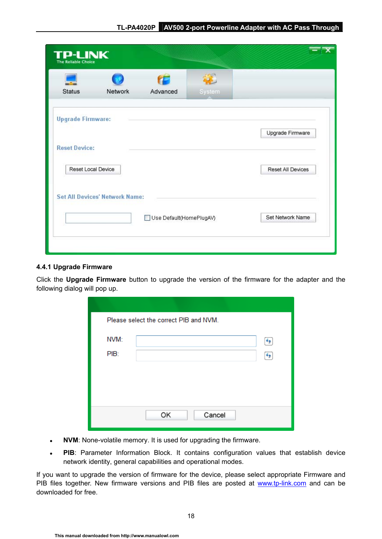<span id="page-23-0"></span>

| <b>Status</b>            | Network                               | Advanced                | System |                   |
|--------------------------|---------------------------------------|-------------------------|--------|-------------------|
| <b>Upgrade Firmware:</b> |                                       |                         |        |                   |
|                          |                                       |                         |        | Upgrade Firmware  |
| <b>Reset Device:</b>     |                                       |                         |        |                   |
| Reset Local Device       |                                       |                         |        | Reset All Devices |
|                          |                                       |                         |        |                   |
|                          | <b>Set All Devices' Network Name:</b> |                         |        |                   |
|                          |                                       | Use Default(HomePlugAV) |        | Set Network Name  |

#### **4.4.1 Upgrade Firmware**

Click the **Upgrade Firmware** button to upgrade the version of the firmware for the adapter and the following dialog will pop up.

|      | Please select the correct PIB and NVM. |    |
|------|----------------------------------------|----|
| NVM: |                                        | ٠, |
| PIB: |                                        |    |
|      |                                        |    |
|      |                                        |    |
|      |                                        |    |
|      | Cancel<br>OK                           |    |
|      |                                        |    |

- **NVM**: None-volatile memory. It is used for upgrading the firmware.
- PIB: Parameter Information Block. It contains configuration values that establish device network identity, general capabilities and operational modes.

If you want to upgrade the version of firmware for the device, please select appropriate Firmware and PIB files together. New firmware versions and PIB files are posted at [www.tp-link.com](http://www.tp-link.com/) and can be downloaded for free.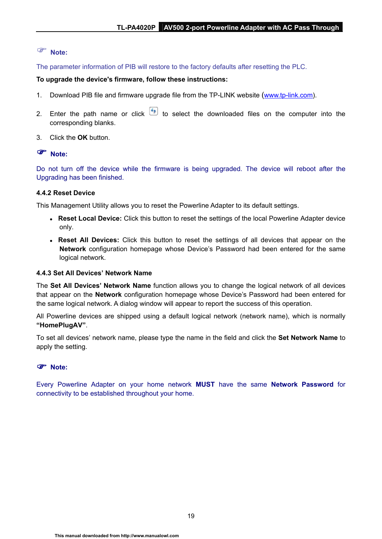#### <span id="page-24-0"></span>) **Note:**

The parameter information of PIB will restore to the factory defaults after resetting the PLC.

#### **To upgrade the device's firmware, follow these instructions:**

- 1. Download PIB file and firmware upgrade file from the TP-LINK website ([www.tp-link.com\)](http://www.tp-link.com/).
- 2. Enter the path name or click  $\left( \frac{f}{f} \right)$  to select the downloaded files on the computer into the corresponding blanks.
- 3. Click the **OK** button.

#### ) **Note:**

Do not turn off the device while the firmware is being upgraded. The device will reboot after the Upgrading has been finished.

#### **4.4.2 Reset Device**

This Management Utility allows you to reset the Powerline Adapter to its default settings.

- Reset Local Device: Click this button to reset the settings of the local Powerline Adapter device only.
- **Reset All Devices:** Click this button to reset the settings of all devices that appear on the **Network** configuration homepage whose Device's Password had been entered for the same logical network.

#### **4.4.3 Set All Devices' Network Name**

The **Set All Devices' Network Name** function allows you to change the logical network of all devices that appear on the **Network** configuration homepage whose Device's Password had been entered for the same logical network. A dialog window will appear to report the success of this operation.

All Powerline devices are shipped using a default logical network (network name), which is normally **"HomePlugAV"**.

To set all devices' network name, please type the name in the field and click the **Set Network Name** to apply the setting.

#### ) **Note:**

Every Powerline Adapter on your home network **MUST** have the same **Network Password** for connectivity to be established throughout your home.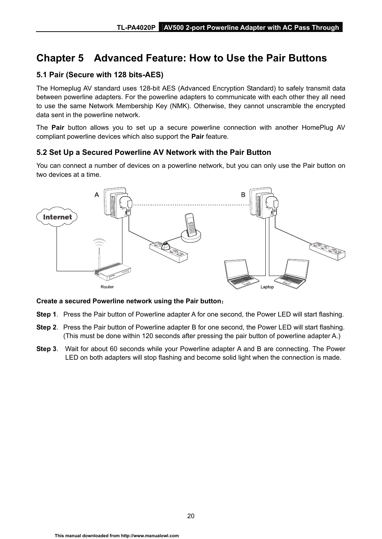## <span id="page-25-0"></span>**Chapter 5 Advanced Feature: How to Use the Pair Buttons**

#### **5.1 Pair (Secure with 128 bits-AES)**

The Homeplug AV standard uses 128-bit AES (Advanced Encryption Standard) to safely transmit data between powerline adapters. For the powerline adapters to communicate with each other they all need to use the same Network Membership Key (NMK). Otherwise, they cannot unscramble the encrypted data sent in the powerline network.

The **Pair** button allows you to set up a secure powerline connection with another HomePlug AV compliant powerline devices which also support the **Pair** feature.

#### **5.2 Set Up a Secured Powerline AV Network with the Pair Button**

You can connect a number of devices on a powerline network, but you can only use the Pair button on two devices at a time.



#### **Create a secured Powerline network using the Pair button**:

- **Step 1**. Press the Pair button of Powerline adapter A for one second, the Power LED will start flashing.
- **Step 2**. Press the Pair button of Powerline adapter B for one second, the Power LED will start flashing. (This must be done within 120 seconds after pressing the pair button of powerline adapter A.)
- **Step 3**. Wait for about 60 seconds while your Powerline adapter A and B are connecting. The Power LED on both adapters will stop flashing and become solid light when the connection is made.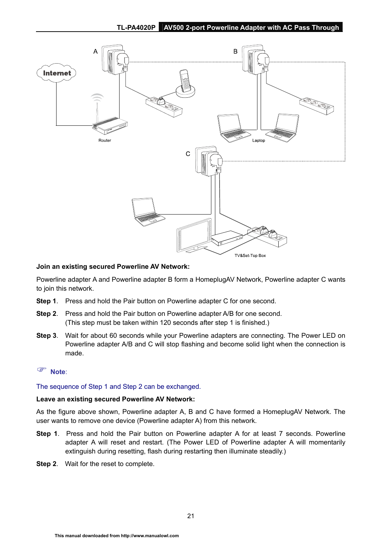

#### **Join an existing secured Powerline AV Network:**

Powerline adapter A and Powerline adapter B form a HomeplugAV Network, Powerline adapter C wants to join this network.

- **Step 1**. Press and hold the Pair button on Powerline adapter C for one second.
- **Step 2**. Press and hold the Pair button on Powerline adapter A/B for one second. (This step must be taken within 120 seconds after step 1 is finished.)
- **Step 3**. Wait for about 60 seconds while your Powerline adapters are connecting. The Power LED on Powerline adapter A/B and C will stop flashing and become solid light when the connection is made.

#### ) **Note**:

#### The sequence of Step 1 and Step 2 can be exchanged.

#### **Leave an existing secured Powerline AV Network:**

As the figure above shown, Powerline adapter A, B and C have formed a HomeplugAV Network. The user wants to remove one device (Powerline adapter A) from this network.

- **Step 1**. Press and hold the Pair button on Powerline adapter A for at least 7 seconds. Powerline adapter A will reset and restart. (The Power LED of Powerline adapter A will momentarily extinguish during resetting, flash during restarting then illuminate steadily.)
- **Step 2**. Wait for the reset to complete.